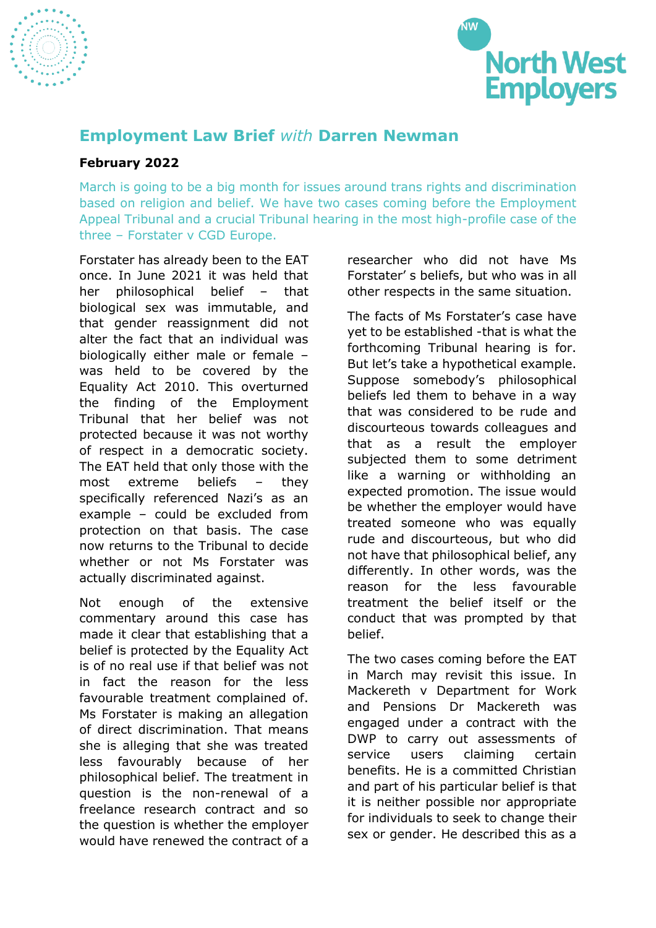



## **Employment Law Brief** *with* **Darren Newman**

## **February 2022**

March is going to be a big month for issues around trans rights and discrimination based on religion and belief. We have two cases coming before the Employment Appeal Tribunal and a crucial Tribunal hearing in the most high-profile case of the three – Forstater v CGD Europe.

Forstater has already been to the EAT once. In June 2021 it was held that her philosophical belief – that biological sex was immutable, and that gender reassignment did not alter the fact that an individual was biologically either male or female – was held to be covered by the Equality Act 2010. This overturned the finding of the Employment Tribunal that her belief was not protected because it was not worthy of respect in a democratic society. The EAT held that only those with the most extreme beliefs – they specifically referenced Nazi's as an example – could be excluded from protection on that basis. The case now returns to the Tribunal to decide whether or not Ms Forstater was actually discriminated against.

Not enough of the extensive commentary around this case has made it clear that establishing that a belief is protected by the Equality Act is of no real use if that belief was not in fact the reason for the less favourable treatment complained of. Ms Forstater is making an allegation of direct discrimination. That means she is alleging that she was treated less favourably because of her philosophical belief. The treatment in question is the non-renewal of a freelance research contract and so the question is whether the employer would have renewed the contract of a

researcher who did not have Ms Forstater' s beliefs, but who was in all other respects in the same situation.

The facts of Ms Forstater's case have yet to be established -that is what the forthcoming Tribunal hearing is for. But let's take a hypothetical example. Suppose somebody's philosophical beliefs led them to behave in a way that was considered to be rude and discourteous towards colleagues and that as a result the employer subjected them to some detriment like a warning or withholding an expected promotion. The issue would be whether the employer would have treated someone who was equally rude and discourteous, but who did not have that philosophical belief, any differently. In other words, was the reason for the less favourable treatment the belief itself or the conduct that was prompted by that belief.

The two cases coming before the EAT in March may revisit this issue. In Mackereth v Department for Work and Pensions Dr Mackereth was engaged under a contract with the DWP to carry out assessments of service users claiming certain benefits. He is a committed Christian and part of his particular belief is that it is neither possible nor appropriate for individuals to seek to change their sex or gender. He described this as a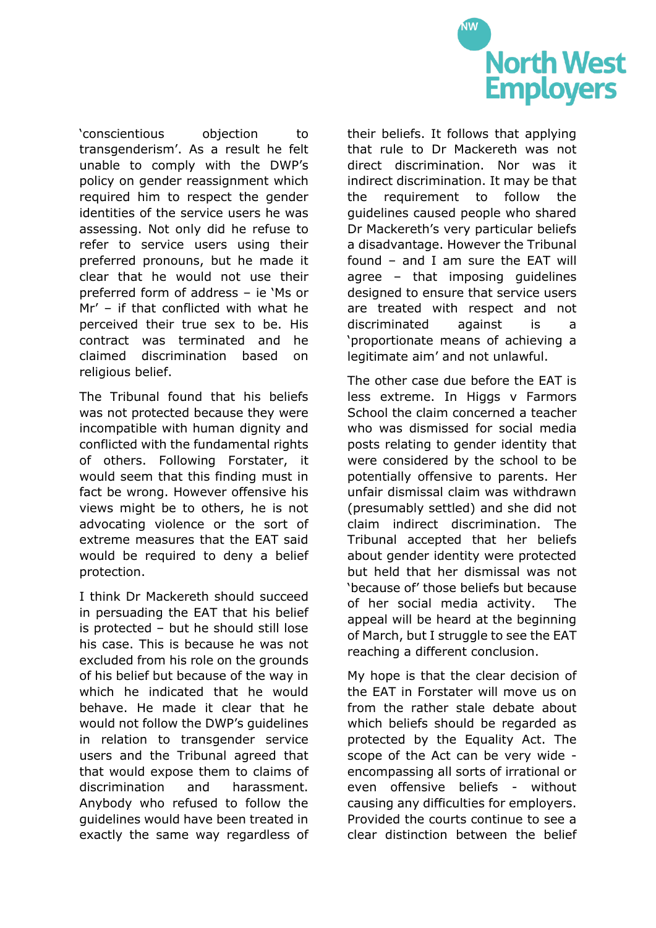

'conscientious objection to transgenderism'. As a result he felt unable to comply with the DWP's policy on gender reassignment which required him to respect the gender identities of the service users he was assessing. Not only did he refuse to refer to service users using their preferred pronouns, but he made it clear that he would not use their preferred form of address – ie 'Ms or Mr' – if that conflicted with what he perceived their true sex to be. His contract was terminated and he claimed discrimination based on religious belief.

The Tribunal found that his beliefs was not protected because they were incompatible with human dignity and conflicted with the fundamental rights of others. Following Forstater, it would seem that this finding must in fact be wrong. However offensive his views might be to others, he is not advocating violence or the sort of extreme measures that the EAT said would be required to deny a belief protection.

I think Dr Mackereth should succeed in persuading the EAT that his belief is protected – but he should still lose his case. This is because he was not excluded from his role on the grounds of his belief but because of the way in which he indicated that he would behave. He made it clear that he would not follow the DWP's guidelines in relation to transgender service users and the Tribunal agreed that that would expose them to claims of discrimination and harassment. Anybody who refused to follow the guidelines would have been treated in exactly the same way regardless of their beliefs. It follows that applying that rule to Dr Mackereth was not direct discrimination. Nor was it indirect discrimination. It may be that the requirement to follow the guidelines caused people who shared Dr Mackereth's very particular beliefs a disadvantage. However the Tribunal found – and I am sure the EAT will agree – that imposing guidelines designed to ensure that service users are treated with respect and not discriminated against is a 'proportionate means of achieving a legitimate aim' and not unlawful.

The other case due before the EAT is less extreme. In Higgs v Farmors School the claim concerned a teacher who was dismissed for social media posts relating to gender identity that were considered by the school to be potentially offensive to parents. Her unfair dismissal claim was withdrawn (presumably settled) and she did not claim indirect discrimination. The Tribunal accepted that her beliefs about gender identity were protected but held that her dismissal was not 'because of' those beliefs but because of her social media activity. The appeal will be heard at the beginning of March, but I struggle to see the EAT reaching a different conclusion.

My hope is that the clear decision of the EAT in Forstater will move us on from the rather stale debate about which beliefs should be regarded as protected by the Equality Act. The scope of the Act can be very wide encompassing all sorts of irrational or even offensive beliefs - without causing any difficulties for employers. Provided the courts continue to see a clear distinction between the belief